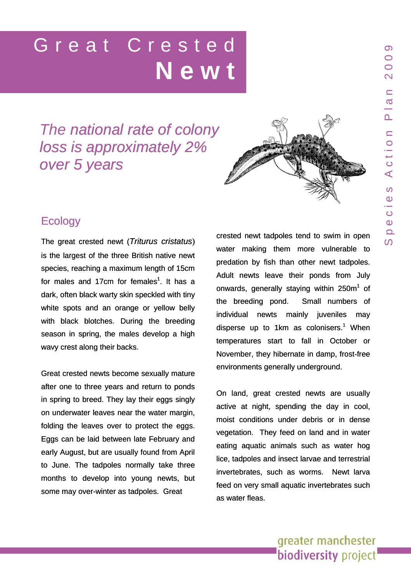# Great Crested **Newt**

# *The national rate of colony loss is approximately* 2% *over 5 years*



# **Ecology**

The great crested newt (*Triturus cristatus*) is the largest of the three British native newt species, reaching a maximum length of 15cm for males and 17cm for females<sup>1</sup>. It has a dark, often black warty skin speckled with tiny white spots and an orange or yellow belly with black blotches. During the breeding season in spring, the males develop a high wavy crest along their backs.

Great crested newts become sexually mature after one to three years and return to ponds in spring to breed. They lay their eggs singly on underwater leaves near the water margin, folding the leaves over to protect the eggs. Eggs can be laid between late February and early August, but are usually found from April to June. The tadpoles normally take three months to develop into young newts, but some may over-winter as tadpoles. Great

crested newt tadpoles tend to swim in open water making them more vulnerable to predation by fish than other newt tadpoles. Adult newts leave their ponds from July <sup>1</sup>. It has a conwards, generally staying within  $250m<sup>1</sup>$  of the breeding pond. Small numbers of individual newts mainly juveniles may disperse up to 1km as colonisers.<sup>1</sup> When temperatures start to fall in October or November, they hibernate in damp, frost-free environments generally underground.

> On land, great crested newts are usually active at night, spending the day in cool, moist conditions under debris or in dense vegetation. They feed on land and in water eating aquatic animals such as water hog lice, tadpoles and insect larvae and terrestrial invertebrates, such as worms. Newt larva feed on very small aquatic invertebrates such as water fleas.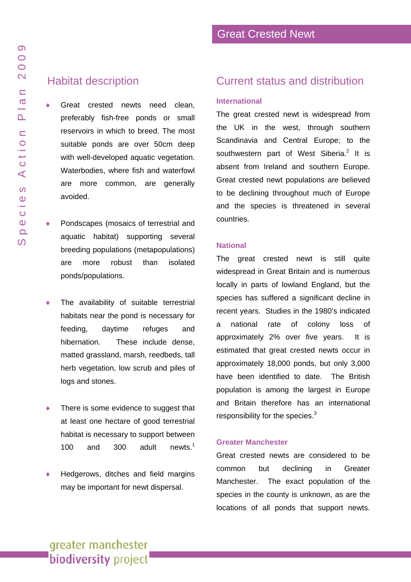$\Omega$  $\overline{O}$  $\overline{O}$  $\overline{\mathsf{N}}$ 

 $\subseteq$  $\sigma$ 

 $\overline{\mathbf{r}}$ 

### Habitat description

♦ Great crested newts need clean, preferably fish-free ponds or small reservoirs in which to breed. The most suitable ponds are over 50cm deep with well-developed aquatic vegetation. Waterbodies, where fish and waterfowl are more common, are generally avoided.

- ♦ Pondscapes (mosaics of terrestrial and aquatic habitat) supporting several breeding populations (metapopulations) are more robust than isolated ponds/populations.
- The availability of suitable terrestrial habitats near the pond is necessary for feeding, daytime refuges and hibernation. These include dense, matted grassland, marsh, reedbeds, tall herb vegetation, low scrub and piles of logs and stones.
- There is some evidence to suggest that at least one hectare of good terrestrial habitat is necessary to support between 100 and 300 adult newts.<sup>1</sup>
- Hedgerows, ditches and field margins may be important for newt dispersal.

### Current status and distribution

#### **International**

The great crested newt is widespread from the UK in the west, through southern Scandinavia and Central Europe; to the southwestern part of West Siberia.<sup>2</sup> It is absent from Ireland and southern Europe. Great crested newt populations are believed to be declining throughout much of Europe and the species is threatened in several countries.

#### **National**

The great crested newt is still quite widespread in Great Britain and is numerous locally in parts of lowland England, but the species has suffered a significant decline in recent years. Studies in the 1980's indicated a national rate of colony loss of approximately 2% over five years. It is estimated that great crested newts occur in approximately 18,000 ponds, but only 3,000 have been identified to date. The British population is among the largest in Europe and Britain therefore has an international responsibility for the species.<sup>3</sup>

#### **Greater Manchester**

Great crested newts are considered to be common but declining in Greater Manchester. The exact population of the species in the county is unknown, as are the locations of all ponds that support newts.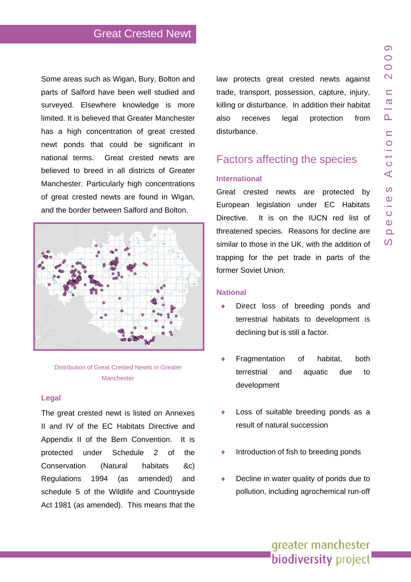Some areas such as Wigan, Bury, Bolton and parts of Salford have been well studied and surveyed. Elsewhere knowledge is more limited. It is believed that Greater Manchester has a high concentration of great crested newt ponds that could be significant in national terms. Great crested newts are believed to breed in all districts of Greater Manchester. Particularly high concentrations of great crested newts are found in Wigan, and the border between Salford and Bolton.



Distribution of Great Crested Newts in Greater **Manchester** 

#### **Legal**

The great crested newt is listed on Annexes II and IV of the EC Habitats Directive and Appendix II of the Bern Convention. It is protected under Schedule 2 of the Conservation (Natural habitats &c) Regulations 1994 (as amended) and schedule 5 of the Wildlife and Countryside Act 1981 (as amended). This means that the law protects great crested newts against trade, transport, possession, capture, injury, killing or disturbance. In addition their habitat also receives legal protection from disturbance.

# Factors affecting the species

#### **International**

Great crested newts are protected by European legislation under EC Habitats Directive. It is on the IUCN red list of threatened species. Reasons for decline are similar to those in the UK, with the addition of trapping for the pet trade in parts of the former Soviet Union.

#### **National**

- ♦ Direct loss of breeding ponds and terrestrial habitats to development is declining but is still a factor.
- Fragmentation of habitat, both terrestrial and aquatic due to development
- ♦ Loss of suitable breeding ponds as a result of natural succession
- Introduction of fish to breeding ponds
- ◆ Decline in water quality of ponds due to pollution, including agrochemical run-off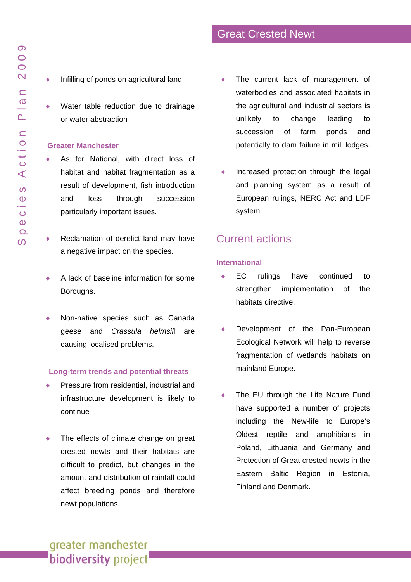$\Omega$  $\overline{O}$  $\bigcirc$  $\overline{\mathsf{N}}$ 

 $\subseteq$  $\sigma$ 

 $\overline{\mathsf{r}}$ 

ction

 $\prec$ 

 $\boldsymbol{\omega}$ 

- ♦ Infilling of ponds on agricultural land
- ♦ Water table reduction due to drainage or water abstraction

#### **Greater Manchester**

- As for National, with direct loss of habitat and habitat fragmentation as a result of development, fish introduction and loss through succession particularly important issues.
- ♦ Reclamation of derelict land may have a negative impact on the species.
- A lack of baseline information for some Boroughs.
- Non-native species such as Canada geese and *Crassula helmsil*l are causing localised problems.

#### **Long-term trends and potential threats**

- Pressure from residential, industrial and infrastructure development is likely to continue
- $\bullet$  The effects of climate change on great crested newts and their habitats are difficult to predict, but changes in the amount and distribution of rainfall could affect breeding ponds and therefore newt populations.
- The current lack of management of waterbodies and associated habitats in the agricultural and industrial sectors is unlikely to change leading to succession of farm ponds and potentially to dam failure in mill lodges.
- ♦ Increased protection through the legal and planning system as a result of European rulings, NERC Act and LDF system.

## Current actions

#### **International**

- EC rulings have continued to strengthen implementation of the habitats directive.
- ♦ Development of the Pan-European Ecological Network will help to reverse fragmentation of wetlands habitats on mainland Europe.
- The EU through the Life Nature Fund have supported a number of projects including the New-life to Europe's Oldest reptile and amphibians in Poland, Lithuania and Germany and Protection of Great crested newts in the Eastern Baltic Region in Estonia, Finland and Denmark.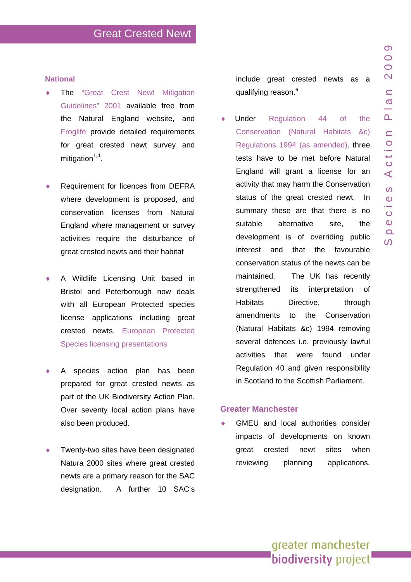#### **National**

- The "Great Crest Newt Mitigation [Guidelines" 2001](http://naturalengland.etraderstores.com/NaturalEnglandShop/product.aspx?ProductID=a7edae69-c711-4761-9829-458caf7c5e37) available free from the Natural England website, and [Froglife](http://www.froglife.org/GCNCH/GCNCH.htm) provide detailed requirements for great crested newt survey and mitigation $^{1,4}$ .
- Requirement for licences from DEFRA where development is proposed, and conservation licenses from Natural England where management or survey activities require the disturbance of great crested newts and their habitat
- A Wildlife Licensing Unit based in Bristol and Peterborough now deals with all European Protected species license applications including great crested newts. [European Protected](http://www.naturalengland.org.uk/Images/epscompletepresentation_tcm6-3717.pdf) [Species licensing presentations](http://www.naturalengland.org.uk/Images/epscompletepresentation_tcm6-3717.pdf)
- A species action plan has been prepared for great crested newts as part of the UK Biodiversity Action Plan. Over seventy local action plans have also been produced.
- Twenty-two sites have been designated Natura 2000 sites where great crested newts are a primary reason for the SAC designation. A further 10 SAC's

include great crested newts as a qualifying reason.<sup>6</sup>

♦ Under [Regulation 44 of the](http://www.opsi.gov.uk/si/si2007/uksi_20071843_en_1)  [Conservation \(Natural Habitats &c\)](http://www.opsi.gov.uk/si/si2007/uksi_20071843_en_1)  [Regulations 1994 \(as amended\),](http://www.opsi.gov.uk/si/si2007/uksi_20071843_en_1) three tests have to be met before Natural England will grant a license for an activity that may harm the Conservation status of the great crested newt. In summary these are that there is no suitable alternative site, the development is of overriding public interest and that the favourable conservation status of the newts can be maintained. The UK has recently strengthened its interpretation of Habitats Directive, through amendments to the Conservation (Natural Habitats &c) 1994 removing several defences i.e. previously lawful activities that were found under Regulation 40 and given responsibility in Scotland to the Scottish Parliament.

#### **Greater Manchester**

GMEU and local authorities consider impacts of developments on known great crested newt sites when reviewing planning applications.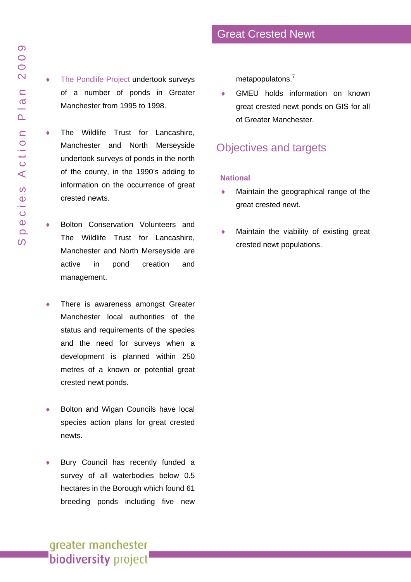- ♦ The Wildlife Trust for Lancashire, Manchester and North Merseyside undertook surveys of ponds in the north of the county, in the 1990's adding to information on the occurrence of great crested newts.
- ♦ Bolton Conservation Volunteers and The Wildlife Trust for Lancashire, Manchester and North Merseyside are active in pond creation and management.
- There is awareness amongst Greater Manchester local authorities of the status and requirements of the species and the need for surveys when a development is planned within 250 metres of a known or potential great crested newt ponds.
- ♦ Bolton and Wigan Councils have local species action plans for great crested newts.
- Bury Council has recently funded a survey of all waterbodies below 0.5 hectares in the Borough which found 61 breeding ponds including five new

metapopulatons.<sup>7</sup>

GMEU holds information on known great crested newt ponds on GIS for all of Greater Manchester.

# Objectives and targets

#### **National**

- Maintain the geographical range of the great crested newt.
- Maintain the viability of existing great crested newt populations.

က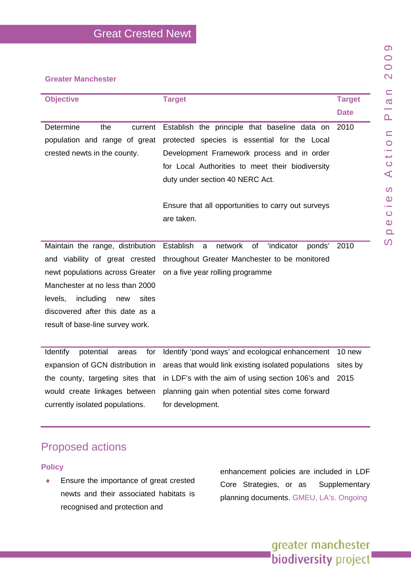| <b>Objective</b>                           | <b>Target</b>                                      | <b>Target</b> |
|--------------------------------------------|----------------------------------------------------|---------------|
|                                            |                                                    | <b>Date</b>   |
| Determine<br>the<br>current                | Establish the principle that baseline data on      | 2010          |
| population and range of great              | protected species is essential for the Local       |               |
| crested newts in the county.               | Development Framework process and in order         |               |
|                                            | for Local Authorities to meet their biodiversity   |               |
|                                            | duty under section 40 NERC Act.                    |               |
|                                            |                                                    |               |
|                                            | Ensure that all opportunities to carry out surveys |               |
|                                            | are taken.                                         |               |
|                                            |                                                    |               |
| Maintain the range, distribution Establish | network of 'indicator<br>ponds'<br>a               | 2010          |
| and viability of great crested             | throughout Greater Manchester to be monitored      |               |
| newt populations across Greater            | on a five year rolling programme                   |               |
| Manchester at no less than 2000            |                                                    |               |
| levels,<br>including<br>sites<br>new       |                                                    |               |
| discovered after this date as a            |                                                    |               |
| result of base-line survey work.           |                                                    |               |

Identify potential areas for expansion of GCN distribution in the county, targeting sites that would create linkages between currently isolated populations. Identify 'pond ways' and ecological enhancement 10 new areas that would link existing isolated populations in LDF's with the aim of using section 106's and planning gain when potential sites come forward for development. sites by 2015

# Proposed actions

**Policy**

♦ Ensure the importance of great crested newts and their associated habitats is recognised and protection and

enhancement policies are included in LDF Core Strategies, or as Supplementary planning documents. GMEU, LA's. Ongoing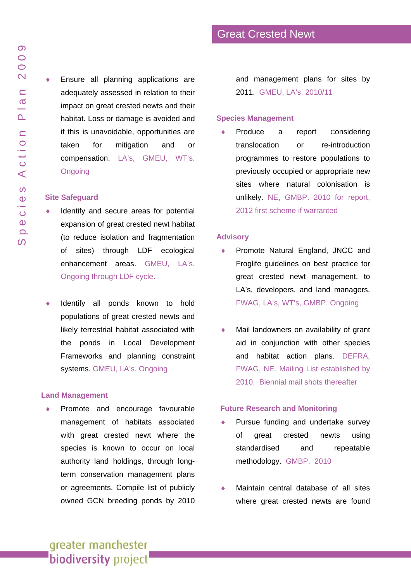♦ Ensure all planning applications are adequately assessed in relation to their impact on great crested newts and their habitat. Loss or damage is avoided and if this is unavoidable, opportunities are taken for mitigation and or compensation. LA's, GMEU, WT's. **Ongoing** 

#### **Site Safeguard**

- Identify and secure areas for potential expansion of great crested newt habitat (to reduce isolation and fragmentation of sites) through LDF ecological enhancement areas. GMEU, LA's. Ongoing through LDF cycle.
- Identify all ponds known to hold populations of great crested newts and likely terrestrial habitat associated with the ponds in Local Development Frameworks and planning constraint systems. GMEU, LA's. Ongoing

#### **Land Management**

Promote and encourage favourable management of habitats associated with great crested newt where the species is known to occur on local authority land holdings, through longterm conservation management plans or agreements. Compile list of publicly owned GCN breeding ponds by 2010 and management plans for sites by 2011. GMEU, LA's. 2010/11

#### **Species Management**

Produce a report Considering translocation or re-introduction programmes to restore populations to previously occupied or appropriate new sites where natural colonisation is unlikely. NE, GMBP. 2010 for report, 2012 first scheme if warranted

#### **Advisory**

- Promote Natural England, JNCC and Froglife guidelines on best practice for great crested newt management, to LA's, developers, and land managers. FWAG, LA's, WT's, GMBP. Ongoing
- ♦ Mail landowners on availability of grant aid in conjunction with other species and habitat action plans. DEFRA, FWAG, NE. Mailing List established by 2010. Biennial mail shots thereafter

#### **Future Research and Monitoring**

- Pursue funding and undertake survey of great crested newts using standardised and repeatable methodology. GMBP. 2010
- ♦ Maintain central database of all sites where great crested newts are found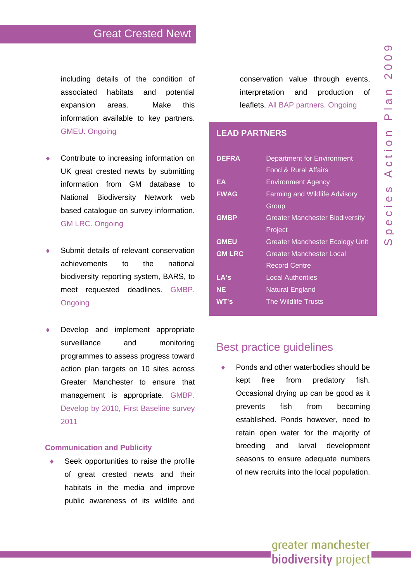including details of the condition of associated habitats and potential expansion areas. Make this information available to key partners. GMEU. Ongoing

- Contribute to increasing information on UK great crested newts by submitting information from GM database to National Biodiversity Network web based catalogue on survey information. GM LRC. Ongoing
- Submit details of relevant conservation achievements to the national biodiversity reporting system, BARS, to meet requested deadlines. GMBP. **Ongoing**
- Develop and implement appropriate surveillance and monitoring programmes to assess progress toward action plan targets on 10 sites across Greater Manchester to ensure that management is appropriate. GMBP. Develop by 2010, First Baseline survey 2011

#### **Communication and Publicity**

♦ Seek opportunities to raise the profile of great crested newts and their habitats in the media and improve public awareness of its wildlife and conservation value through events, interpretation and production of leaflets. All BAP partners. Ongoing

#### **LEAD PARTNERS**

| <b>DEFRA</b>  | <b>Department for Environment</b>      |
|---------------|----------------------------------------|
|               | <b>Food &amp; Rural Affairs</b>        |
| ΕA            | <b>Environment Agency</b>              |
| <b>FWAG</b>   | <b>Farming and Wildlife Advisory</b>   |
|               | Group                                  |
| <b>GMBP</b>   | <b>Greater Manchester Biodiversity</b> |
|               | Project                                |
| <b>GMEU</b>   | <b>Greater Manchester Ecology Unit</b> |
| <b>GM LRC</b> | Greater Manchester Local               |
|               | <b>Record Centre</b>                   |
| LA's          | <b>Local Authorities</b>               |
| NE            | <b>Natural England</b>                 |
| WT's          | The Wildlife Trusts                    |

## Best practice guidelines

◆ Ponds and other waterbodies should be kept free from predatory fish. Occasional drying up can be good as it prevents fish from becoming established. Ponds however, need to retain open water for the majority of breeding and larval development seasons to ensure adequate numbers of new recruits into the local population.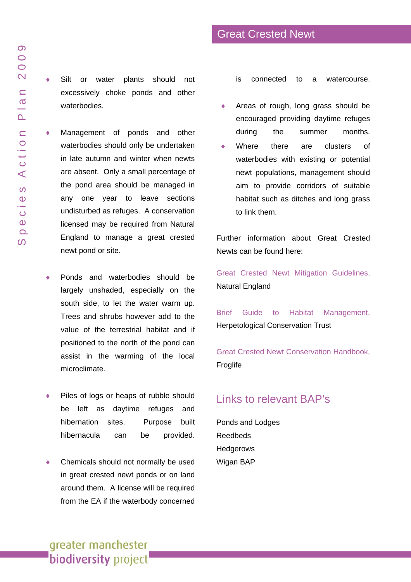♦ Silt or water plants should not excessively choke ponds and other waterbodies.

♦ Management of ponds and other waterbodies should only be undertaken in late autumn and winter when newts are absent. Only a small percentage of the pond area should be managed in any one year to leave sections undisturbed as refuges. A conservation licensed may be required from Natural England to manage a great crested newt pond or site.

- Ponds and waterbodies should be largely unshaded, especially on the south side, to let the water warm up. Trees and shrubs however add to the value of the terrestrial habitat and if positioned to the north of the pond can assist in the warming of the local microclimate.
- Piles of logs or heaps of rubble should be left as daytime refuges and hibernation sites. Purpose built hibernacula can be provided.
- Chemicals should not normally be used in great crested newt ponds or on land around them. A license will be required from the EA if the waterbody concerned

is connected to a watercourse.

Great Crested Newt

- ♦ Areas of rough, long grass should be encouraged providing daytime refuges during the summer months.
- Where there are clusters of waterbodies with existing or potential newt populations, management should aim to provide corridors of suitable habitat such as ditches and long grass to link them.

Further information about Great Crested Newts can be found here:

[Great Crested Newt Mitigation Guidelines,](http://naturalengland.etraderstores.com/NaturalEnglandShop/product.aspx?ProductID=a7edae69-c711-4761-9829-458caf7c5e37) Natural England

[Brief Guide to Habitat Management,](http://www.herpconstrust.org.uk/downloads/GreatCrestedNewtManagementLeaflet.pdf) Herpetological Conservation Trust

[Great Crested Newt Conservation Handbook,](http://www.froglife.org/GCNCH/GCNCH.htm) **Froglife** 

# Links to relevant BAP's

[Ponds and Lodges](www.gmbp.org.uk/site/images/stories/ponds & lodges bap_09.pdf)  [Reedbeds](www.gmbp.org.uk/site/images/stories/reedbeds & bittern bap_09.pdf)  [Hedgerows](www.gmbp.org.uk/site/images/stories/hedgerows bap_09.pdf)  [Wigan BAP](http://www.wlct.org/leisure/biodiversity)